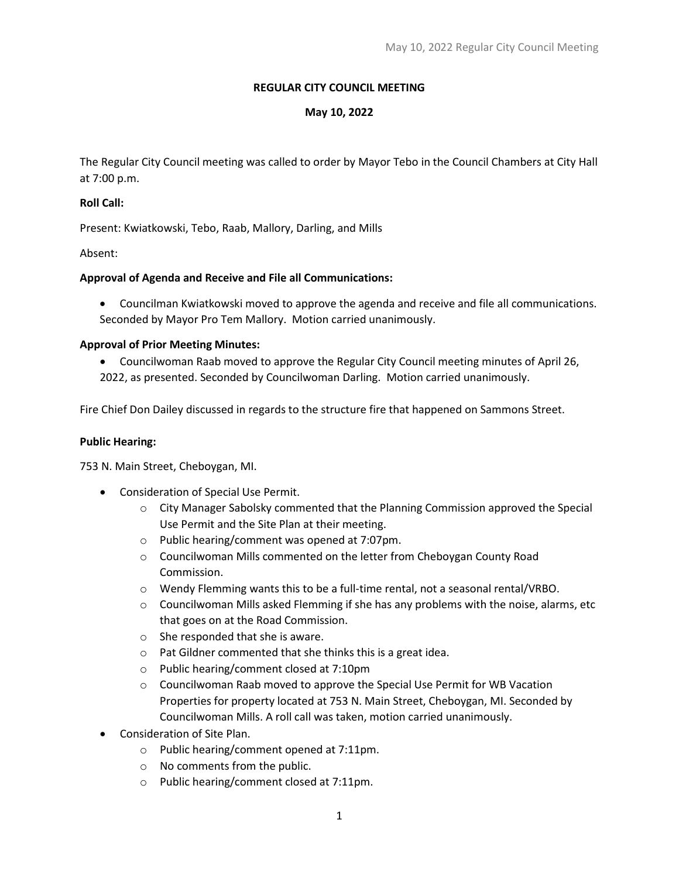## **REGULAR CITY COUNCIL MEETING**

## **May 10, 2022**

The Regular City Council meeting was called to order by Mayor Tebo in the Council Chambers at City Hall at 7:00 p.m.

### **Roll Call:**

Present: Kwiatkowski, Tebo, Raab, Mallory, Darling, and Mills

Absent:

# **Approval of Agenda and Receive and File all Communications:**

• Councilman Kwiatkowski moved to approve the agenda and receive and file all communications. Seconded by Mayor Pro Tem Mallory. Motion carried unanimously.

### **Approval of Prior Meeting Minutes:**

• Councilwoman Raab moved to approve the Regular City Council meeting minutes of April 26, 2022, as presented. Seconded by Councilwoman Darling. Motion carried unanimously.

Fire Chief Don Dailey discussed in regards to the structure fire that happened on Sammons Street.

### **Public Hearing:**

753 N. Main Street, Cheboygan, MI.

- Consideration of Special Use Permit.
	- $\circ$  City Manager Sabolsky commented that the Planning Commission approved the Special Use Permit and the Site Plan at their meeting.
	- o Public hearing/comment was opened at 7:07pm.
	- o Councilwoman Mills commented on the letter from Cheboygan County Road Commission.
	- o Wendy Flemming wants this to be a full-time rental, not a seasonal rental/VRBO.
	- $\circ$  Councilwoman Mills asked Flemming if she has any problems with the noise, alarms, etc that goes on at the Road Commission.
	- o She responded that she is aware.
	- o Pat Gildner commented that she thinks this is a great idea.
	- o Public hearing/comment closed at 7:10pm
	- $\circ$  Councilwoman Raab moved to approve the Special Use Permit for WB Vacation Properties for property located at 753 N. Main Street, Cheboygan, MI. Seconded by Councilwoman Mills. A roll call was taken, motion carried unanimously.
- Consideration of Site Plan.
	- o Public hearing/comment opened at 7:11pm.
	- o No comments from the public.
	- o Public hearing/comment closed at 7:11pm.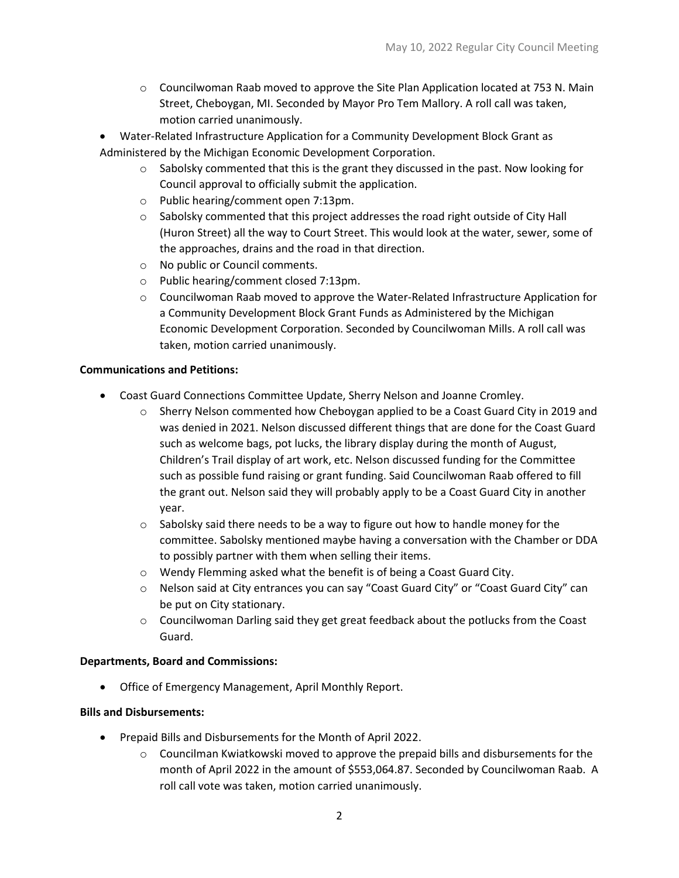- $\circ$  Councilwoman Raab moved to approve the Site Plan Application located at 753 N. Main Street, Cheboygan, MI. Seconded by Mayor Pro Tem Mallory. A roll call was taken, motion carried unanimously.
- Water-Related Infrastructure Application for a Community Development Block Grant as Administered by the Michigan Economic Development Corporation.
	- $\circ$  Sabolsky commented that this is the grant they discussed in the past. Now looking for Council approval to officially submit the application.
	- o Public hearing/comment open 7:13pm.
	- $\circ$  Sabolsky commented that this project addresses the road right outside of City Hall (Huron Street) all the way to Court Street. This would look at the water, sewer, some of the approaches, drains and the road in that direction.
	- o No public or Council comments.
	- o Public hearing/comment closed 7:13pm.
	- o Councilwoman Raab moved to approve the Water-Related Infrastructure Application for a Community Development Block Grant Funds as Administered by the Michigan Economic Development Corporation. Seconded by Councilwoman Mills. A roll call was taken, motion carried unanimously.

# **Communications and Petitions:**

- Coast Guard Connections Committee Update, Sherry Nelson and Joanne Cromley.
	- Sherry Nelson commented how Cheboygan applied to be a Coast Guard City in 2019 and was denied in 2021. Nelson discussed different things that are done for the Coast Guard such as welcome bags, pot lucks, the library display during the month of August, Children's Trail display of art work, etc. Nelson discussed funding for the Committee such as possible fund raising or grant funding. Said Councilwoman Raab offered to fill the grant out. Nelson said they will probably apply to be a Coast Guard City in another year.
	- $\circ$  Sabolsky said there needs to be a way to figure out how to handle money for the committee. Sabolsky mentioned maybe having a conversation with the Chamber or DDA to possibly partner with them when selling their items.
	- o Wendy Flemming asked what the benefit is of being a Coast Guard City.
	- o Nelson said at City entrances you can say "Coast Guard City" or "Coast Guard City" can be put on City stationary.
	- $\circ$  Councilwoman Darling said they get great feedback about the potlucks from the Coast Guard.

### **Departments, Board and Commissions:**

• Office of Emergency Management, April Monthly Report.

### **Bills and Disbursements:**

- Prepaid Bills and Disbursements for the Month of April 2022.
	- $\circ$  Councilman Kwiatkowski moved to approve the prepaid bills and disbursements for the month of April 2022 in the amount of \$553,064.87. Seconded by Councilwoman Raab. A roll call vote was taken, motion carried unanimously.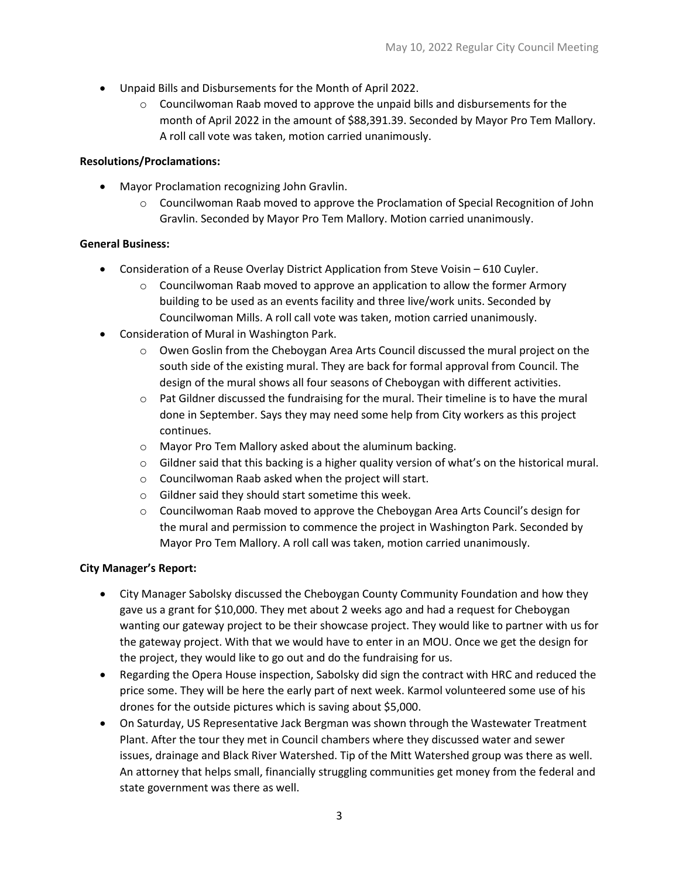- Unpaid Bills and Disbursements for the Month of April 2022.
	- $\circ$  Councilwoman Raab moved to approve the unpaid bills and disbursements for the month of April 2022 in the amount of \$88,391.39. Seconded by Mayor Pro Tem Mallory. A roll call vote was taken, motion carried unanimously.

# **Resolutions/Proclamations:**

- Mayor Proclamation recognizing John Gravlin.
	- $\circ$  Councilwoman Raab moved to approve the Proclamation of Special Recognition of John Gravlin. Seconded by Mayor Pro Tem Mallory. Motion carried unanimously.

# **General Business:**

- Consideration of a Reuse Overlay District Application from Steve Voisin 610 Cuyler.
	- $\circ$  Councilwoman Raab moved to approve an application to allow the former Armory building to be used as an events facility and three live/work units. Seconded by Councilwoman Mills. A roll call vote was taken, motion carried unanimously.
- Consideration of Mural in Washington Park.
	- $\circ$  Owen Goslin from the Cheboygan Area Arts Council discussed the mural project on the south side of the existing mural. They are back for formal approval from Council. The design of the mural shows all four seasons of Cheboygan with different activities.
	- $\circ$  Pat Gildner discussed the fundraising for the mural. Their timeline is to have the mural done in September. Says they may need some help from City workers as this project continues.
	- o Mayor Pro Tem Mallory asked about the aluminum backing.
	- $\circ$  Gildner said that this backing is a higher quality version of what's on the historical mural.
	- o Councilwoman Raab asked when the project will start.
	- o Gildner said they should start sometime this week.
	- o Councilwoman Raab moved to approve the Cheboygan Area Arts Council's design for the mural and permission to commence the project in Washington Park. Seconded by Mayor Pro Tem Mallory. A roll call was taken, motion carried unanimously.

### **City Manager's Report:**

- City Manager Sabolsky discussed the Cheboygan County Community Foundation and how they gave us a grant for \$10,000. They met about 2 weeks ago and had a request for Cheboygan wanting our gateway project to be their showcase project. They would like to partner with us for the gateway project. With that we would have to enter in an MOU. Once we get the design for the project, they would like to go out and do the fundraising for us.
- Regarding the Opera House inspection, Sabolsky did sign the contract with HRC and reduced the price some. They will be here the early part of next week. Karmol volunteered some use of his drones for the outside pictures which is saving about \$5,000.
- On Saturday, US Representative Jack Bergman was shown through the Wastewater Treatment Plant. After the tour they met in Council chambers where they discussed water and sewer issues, drainage and Black River Watershed. Tip of the Mitt Watershed group was there as well. An attorney that helps small, financially struggling communities get money from the federal and state government was there as well.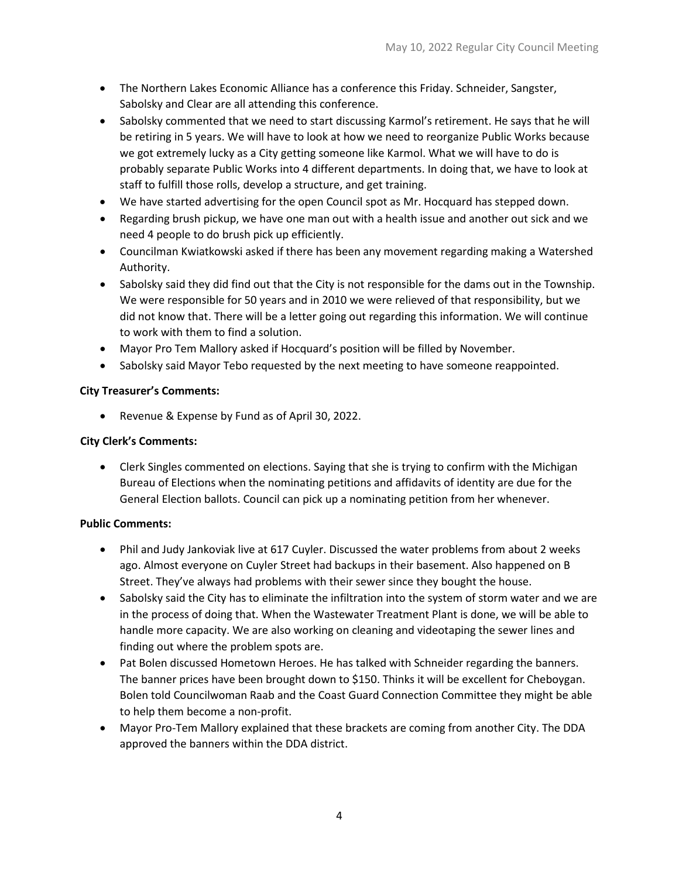- The Northern Lakes Economic Alliance has a conference this Friday. Schneider, Sangster, Sabolsky and Clear are all attending this conference.
- Sabolsky commented that we need to start discussing Karmol's retirement. He says that he will be retiring in 5 years. We will have to look at how we need to reorganize Public Works because we got extremely lucky as a City getting someone like Karmol. What we will have to do is probably separate Public Works into 4 different departments. In doing that, we have to look at staff to fulfill those rolls, develop a structure, and get training.
- We have started advertising for the open Council spot as Mr. Hocquard has stepped down.
- Regarding brush pickup, we have one man out with a health issue and another out sick and we need 4 people to do brush pick up efficiently.
- Councilman Kwiatkowski asked if there has been any movement regarding making a Watershed Authority.
- Sabolsky said they did find out that the City is not responsible for the dams out in the Township. We were responsible for 50 years and in 2010 we were relieved of that responsibility, but we did not know that. There will be a letter going out regarding this information. We will continue to work with them to find a solution.
- Mayor Pro Tem Mallory asked if Hocquard's position will be filled by November.
- Sabolsky said Mayor Tebo requested by the next meeting to have someone reappointed.

### **City Treasurer's Comments:**

• Revenue & Expense by Fund as of April 30, 2022.

### **City Clerk's Comments:**

• Clerk Singles commented on elections. Saying that she is trying to confirm with the Michigan Bureau of Elections when the nominating petitions and affidavits of identity are due for the General Election ballots. Council can pick up a nominating petition from her whenever.

### **Public Comments:**

- Phil and Judy Jankoviak live at 617 Cuyler. Discussed the water problems from about 2 weeks ago. Almost everyone on Cuyler Street had backups in their basement. Also happened on B Street. They've always had problems with their sewer since they bought the house.
- Sabolsky said the City has to eliminate the infiltration into the system of storm water and we are in the process of doing that. When the Wastewater Treatment Plant is done, we will be able to handle more capacity. We are also working on cleaning and videotaping the sewer lines and finding out where the problem spots are.
- Pat Bolen discussed Hometown Heroes. He has talked with Schneider regarding the banners. The banner prices have been brought down to \$150. Thinks it will be excellent for Cheboygan. Bolen told Councilwoman Raab and the Coast Guard Connection Committee they might be able to help them become a non-profit.
- Mayor Pro-Tem Mallory explained that these brackets are coming from another City. The DDA approved the banners within the DDA district.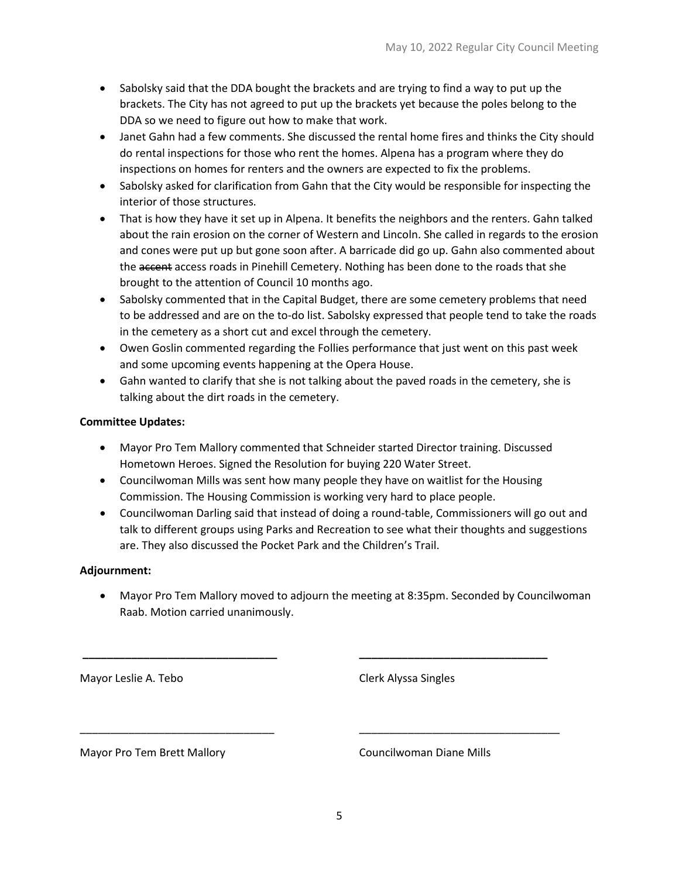- Sabolsky said that the DDA bought the brackets and are trying to find a way to put up the brackets. The City has not agreed to put up the brackets yet because the poles belong to the DDA so we need to figure out how to make that work.
- Janet Gahn had a few comments. She discussed the rental home fires and thinks the City should do rental inspections for those who rent the homes. Alpena has a program where they do inspections on homes for renters and the owners are expected to fix the problems.
- Sabolsky asked for clarification from Gahn that the City would be responsible for inspecting the interior of those structures.
- That is how they have it set up in Alpena. It benefits the neighbors and the renters. Gahn talked about the rain erosion on the corner of Western and Lincoln. She called in regards to the erosion and cones were put up but gone soon after. A barricade did go up. Gahn also commented about the accent access roads in Pinehill Cemetery. Nothing has been done to the roads that she brought to the attention of Council 10 months ago.
- Sabolsky commented that in the Capital Budget, there are some cemetery problems that need to be addressed and are on the to-do list. Sabolsky expressed that people tend to take the roads in the cemetery as a short cut and excel through the cemetery.
- Owen Goslin commented regarding the Follies performance that just went on this past week and some upcoming events happening at the Opera House.
- Gahn wanted to clarify that she is not talking about the paved roads in the cemetery, she is talking about the dirt roads in the cemetery.

# **Committee Updates:**

- Mayor Pro Tem Mallory commented that Schneider started Director training. Discussed Hometown Heroes. Signed the Resolution for buying 220 Water Street.
- Councilwoman Mills was sent how many people they have on waitlist for the Housing Commission. The Housing Commission is working very hard to place people.

**\_\_\_\_\_\_\_\_\_\_\_\_\_\_\_\_\_\_\_\_\_\_\_\_\_\_\_\_\_\_\_\_ \_\_\_\_\_\_\_\_\_\_\_\_\_\_\_\_\_\_\_\_\_\_\_\_\_\_\_\_\_\_\_**

\_\_\_\_\_\_\_\_\_\_\_\_\_\_\_\_\_\_\_\_\_\_\_\_\_\_\_\_\_\_\_\_ \_\_\_\_\_\_\_\_\_\_\_\_\_\_\_\_\_\_\_\_\_\_\_\_\_\_\_\_\_\_\_\_\_

• Councilwoman Darling said that instead of doing a round-table, Commissioners will go out and talk to different groups using Parks and Recreation to see what their thoughts and suggestions are. They also discussed the Pocket Park and the Children's Trail.

### **Adjournment:**

• Mayor Pro Tem Mallory moved to adjourn the meeting at 8:35pm. Seconded by Councilwoman Raab. Motion carried unanimously.

Mayor Leslie A. Tebo Clerk Alyssa Singles

Mayor Pro Tem Brett Mallory **Councilwoman Diane Mills**